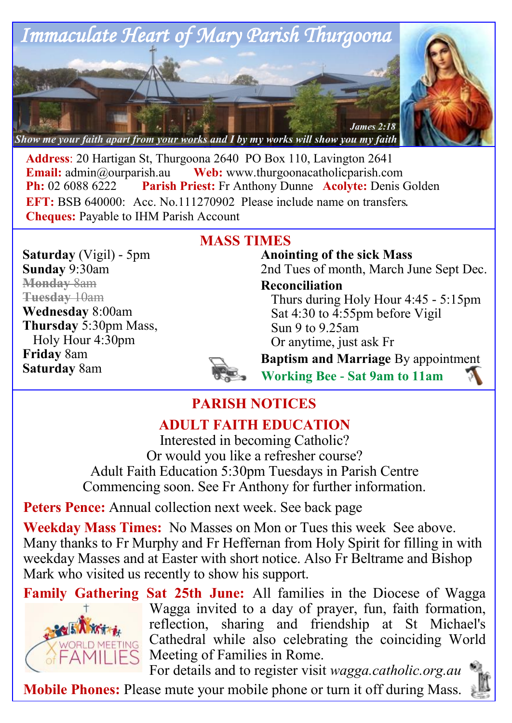

**Address**: 20 Hartigan St, Thurgoona 2640 PO Box 110, Lavington 2641 **Email:**  $\alpha$ <sup>o</sup> admin $\alpha$ <sup>o</sup> aurearish.au **Web:** www.thurgoonacatholicparish.com **Ph:** 02 6088 6222 **Parish Priest:** Fr Anthony Dunne **Acolyte:** Denis Golden **EFT:** BSB 640000: Acc. No.111270902 Please include name on transfers. **Cheques:** Payable to IHM Parish Account

**Saturday** (Vigil) - 5pm **Sunday** 9:30am **Monday** 8am **Tuesday** 10am **Wednesday** 8:00am **Thursday** 5:30pm Mass, Holy Hour 4:30pm **Friday** 8am **Saturday** 8am

### **MASS TIMES**

**Anointing of the sick Mass** 2nd Tues of month, March June Sept Dec.

**Reconciliation** 

Thurs during Holy Hour 4:45 - 5:15pm Sat 4:30 to 4:55pm before Vigil Sun 9 to 9.25am Or anytime, just ask Fr



**Baptism and Marriage** By appointment **Working Bee - Sat 9am to 11am**

# **PARISH NOTICES**

## **ADULT FAITH EDUCATION**

Interested in becoming Catholic? Or would you like a refresher course? Adult Faith Education 5:30pm Tuesdays in Parish Centre Commencing soon. See Fr Anthony for further information.

**Peters Pence:** Annual collection next week. See back page

**Weekday Mass Times:** No Masses on Mon or Tues this week See above. Many thanks to Fr Murphy and Fr Heffernan from Holy Spirit for filling in with weekday Masses and at Easter with short notice. Also Fr Beltrame and Bishop Mark who visited us recently to show his support.



**Family Gathering Sat 25th June:** All families in the Diocese of Wagga Wagga invited to a day of prayer, fun, faith formation, reflection, sharing and friendship at St Michael's Cathedral while also celebrating the coinciding World Meeting of Families in Rome.

For details and to register visit *wagga.catholic.org.au* **Mobile Phones:** Please mute your mobile phone or turn it off during Mass.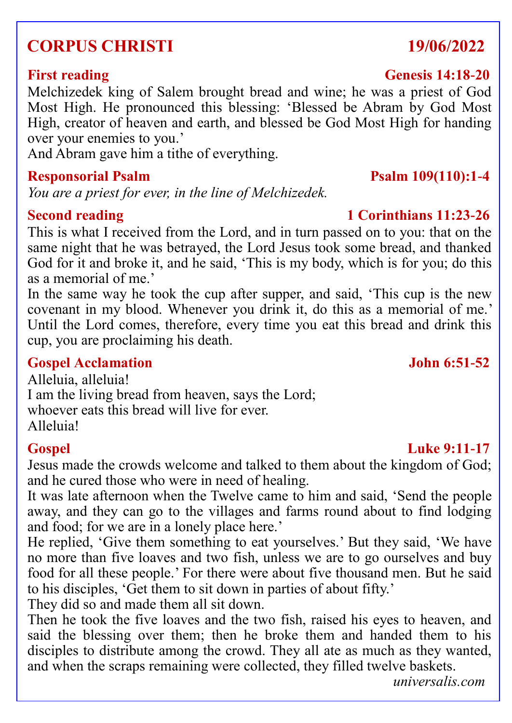# **CORPUS CHRISTI 19/06/2022**

### **First reading Genesis 14:18-20**

Melchizedek king of Salem brought bread and wine; he was a priest of God Most High. He pronounced this blessing: 'Blessed be Abram by God Most High, creator of heaven and earth, and blessed be God Most High for handing over your enemies to you.'

And Abram gave him a tithe of everything.

### **Responsorial Psalm Psalm 109(110):1-4**

*You are a priest for ever, in the line of Melchizedek.*

This is what I received from the Lord, and in turn passed on to you: that on the same night that he was betrayed, the Lord Jesus took some bread, and thanked God for it and broke it, and he said, 'This is my body, which is for you; do this as a memorial of me.'

In the same way he took the cup after supper, and said, 'This cup is the new covenant in my blood. Whenever you drink it, do this as a memorial of me.' Until the Lord comes, therefore, every time you eat this bread and drink this cup, you are proclaiming his death.

### **Gospel Acclamation John 6:51-52**

Alleluia, alleluia! I am the living bread from heaven, says the Lord; whoever eats this bread will live for ever. Alleluia!

### **Gospel Luke 9:11-17**

### Jesus made the crowds welcome and talked to them about the kingdom of God; and he cured those who were in need of healing.

It was late afternoon when the Twelve came to him and said, 'Send the people away, and they can go to the villages and farms round about to find lodging and food; for we are in a lonely place here.'

He replied, 'Give them something to eat yourselves.' But they said, 'We have no more than five loaves and two fish, unless we are to go ourselves and buy food for all these people.' For there were about five thousand men. But he said to his disciples, 'Get them to sit down in parties of about fifty.'

They did so and made them all sit down.

Then he took the five loaves and the two fish, raised his eyes to heaven, and said the blessing over them; then he broke them and handed them to his disciples to distribute among the crowd. They all ate as much as they wanted, and when the scraps remaining were collected, they filled twelve baskets.

*universalis.com*

# **Second reading 1 Corinthians 11:23-26**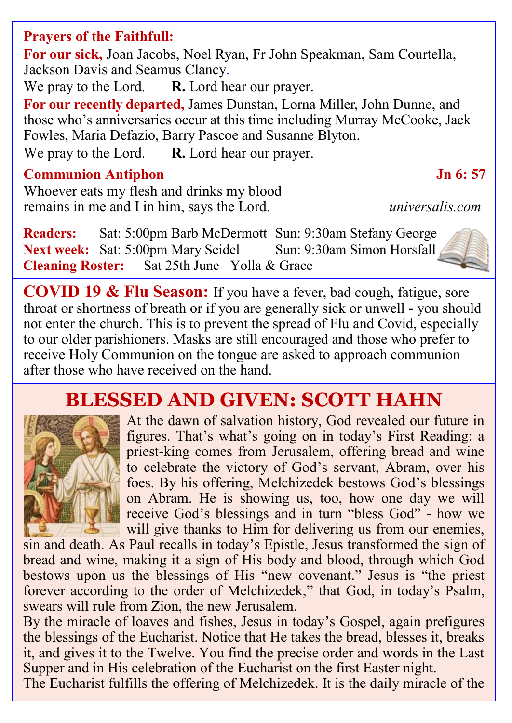### **Prayers of the Faithfull:**

**For our sick,** Joan Jacobs, Noel Ryan, Fr John Speakman, Sam Courtella, Jackson Davis and Seamus Clancy.

We pray to the Lord. **R.** Lord hear our prayer.

**For our recently departed,** James Dunstan, Lorna Miller, John Dunne, and those who's anniversaries occur at this time including Murray McCooke, Jack Fowles, Maria Defazio, Barry Pascoe and Susanne Blyton.

We pray to the Lord. **R.** Lord hear our prayer.

### **Communion Antiphon Jn 6: 57**

Whoever eats my flesh and drinks my blood remains in me and I in him, says the Lord. *universalis.com*

**Readers:** Sat: 5:00pm Barb McDermott Sun: 9:30am Stefany George Next week: Sat: 5:00pm Mary Seidel Sun: 9:30am Simon Horsfall **Cleaning Roster:** Sat 25th June Yolla & Grace

**COVID 19 & Flu Season:** If you have a fever, bad cough, fatigue, sore throat or shortness of breath or if you are generally sick or unwell - you should not enter the church. This is to prevent the spread of Flu and Covid, especially to our older parishioners. Masks are still encouraged and those who prefer to receive Holy Communion on the tongue are asked to approach communion after those who have received on the hand.

# **BLESSED AND GIVEN: SCOTT HAHN**



At the dawn of salvation history, God revealed our future in figures. That's what's going on in today's First Reading: a priest-king comes from Jerusalem, offering bread and wine to celebrate the victory of God's servant, Abram, over his foes. By his offering, Melchizedek bestows God's blessings on Abram. He is showing us, too, how one day we will receive God's blessings and in turn "bless God" - how we will give thanks to Him for delivering us from our enemies,

sin and death. As Paul recalls in today's Epistle, Jesus transformed the sign of bread and wine, making it a sign of His body and blood, through which God bestows upon us the blessings of His "new covenant." Jesus is "the priest forever according to the order of Melchizedek," that God, in today's Psalm, swears will rule from Zion, the new Jerusalem.

By the miracle of loaves and fishes, Jesus in today's Gospel, again prefigures the blessings of the Eucharist. Notice that He takes the bread, blesses it, breaks it, and gives it to the Twelve. You find the precise order and words in the Last Supper and in His celebration of the Eucharist on the first Easter night.

The Eucharist fulfills the offering of Melchizedek. It is the daily miracle of the